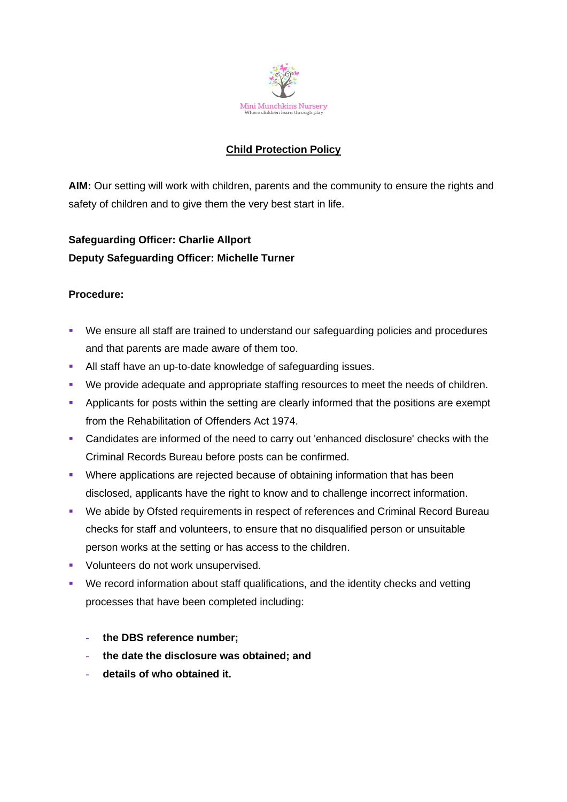

# **Child Protection Policy**

**AIM:** Our setting will work with children, parents and the community to ensure the rights and safety of children and to give them the very best start in life.

# **Safeguarding Officer: Charlie Allport Deputy Safeguarding Officer: Michelle Turner**

### **Procedure:**

- We ensure all staff are trained to understand our safeguarding policies and procedures and that parents are made aware of them too.
- **EXEL All staff have an up-to-date knowledge of safeguarding issues.**
- We provide adequate and appropriate staffing resources to meet the needs of children.
- **•** Applicants for posts within the setting are clearly informed that the positions are exempt from the Rehabilitation of Offenders Act 1974.
- Candidates are informed of the need to carry out 'enhanced disclosure' checks with the Criminal Records Bureau before posts can be confirmed.
- Where applications are rejected because of obtaining information that has been disclosed, applicants have the right to know and to challenge incorrect information.
- We abide by Ofsted requirements in respect of references and Criminal Record Bureau checks for staff and volunteers, to ensure that no disqualified person or unsuitable person works at the setting or has access to the children.
- **•** Volunteers do not work unsupervised.
- We record information about staff qualifications, and the identity checks and vetting processes that have been completed including:
	- **- the DBS reference number;**
	- **- the date the disclosure was obtained; and**
	- **- details of who obtained it.**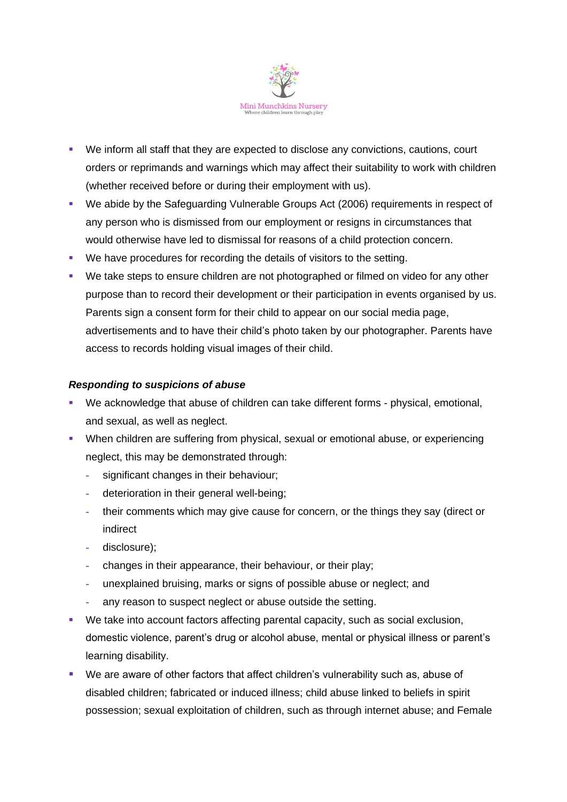

- We inform all staff that they are expected to disclose any convictions, cautions, court orders or reprimands and warnings which may affect their suitability to work with children (whether received before or during their employment with us).
- We abide by the Safeguarding Vulnerable Groups Act (2006) requirements in respect of any person who is dismissed from our employment or resigns in circumstances that would otherwise have led to dismissal for reasons of a child protection concern.
- We have procedures for recording the details of visitors to the setting.
- We take steps to ensure children are not photographed or filmed on video for any other purpose than to record their development or their participation in events organised by us. Parents sign a consent form for their child to appear on our social media page, advertisements and to have their child's photo taken by our photographer. Parents have access to records holding visual images of their child.

# *Responding to suspicions of abuse*

- We acknowledge that abuse of children can take different forms physical, emotional, and sexual, as well as neglect.
- **When children are suffering from physical, sexual or emotional abuse, or experiencing** neglect, this may be demonstrated through:
	- **-** significant changes in their behaviour;
	- **-** deterioration in their general well-being;
	- **-** their comments which may give cause for concern, or the things they say (direct or indirect
	- **-** disclosure);
	- **-** changes in their appearance, their behaviour, or their play;
	- **-** unexplained bruising, marks or signs of possible abuse or neglect; and
	- **-** any reason to suspect neglect or abuse outside the setting.
- We take into account factors affecting parental capacity, such as social exclusion, domestic violence, parent's drug or alcohol abuse, mental or physical illness or parent's learning disability.
- We are aware of other factors that affect children's vulnerability such as, abuse of disabled children; fabricated or induced illness; child abuse linked to beliefs in spirit possession; sexual exploitation of children, such as through internet abuse; and Female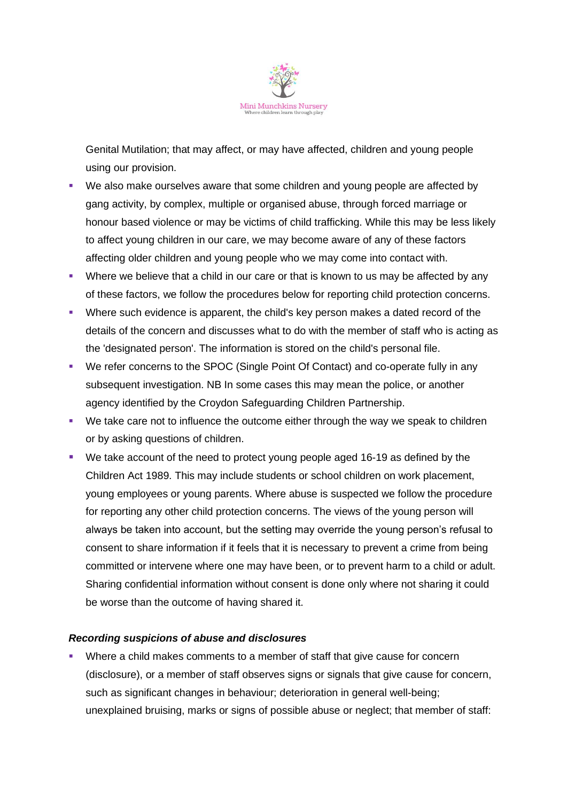

Genital Mutilation; that may affect, or may have affected, children and young people using our provision.

- We also make ourselves aware that some children and young people are affected by gang activity, by complex, multiple or organised abuse, through forced marriage or honour based violence or may be victims of child trafficking. While this may be less likely to affect young children in our care, we may become aware of any of these factors affecting older children and young people who we may come into contact with.
- Where we believe that a child in our care or that is known to us may be affected by any of these factors, we follow the procedures below for reporting child protection concerns.
- Where such evidence is apparent, the child's key person makes a dated record of the details of the concern and discusses what to do with the member of staff who is acting as the 'designated person'. The information is stored on the child's personal file.
- We refer concerns to the SPOC (Single Point Of Contact) and co-operate fully in any subsequent investigation. NB In some cases this may mean the police, or another agency identified by the Croydon Safeguarding Children Partnership.
- We take care not to influence the outcome either through the way we speak to children or by asking questions of children.
- We take account of the need to protect young people aged 16-19 as defined by the Children Act 1989. This may include students or school children on work placement, young employees or young parents. Where abuse is suspected we follow the procedure for reporting any other child protection concerns. The views of the young person will always be taken into account, but the setting may override the young person's refusal to consent to share information if it feels that it is necessary to prevent a crime from being committed or intervene where one may have been, or to prevent harm to a child or adult. Sharing confidential information without consent is done only where not sharing it could be worse than the outcome of having shared it.

#### *Recording suspicions of abuse and disclosures*

Where a child makes comments to a member of staff that give cause for concern (disclosure), or a member of staff observes signs or signals that give cause for concern, such as significant changes in behaviour; deterioration in general well-being; unexplained bruising, marks or signs of possible abuse or neglect; that member of staff: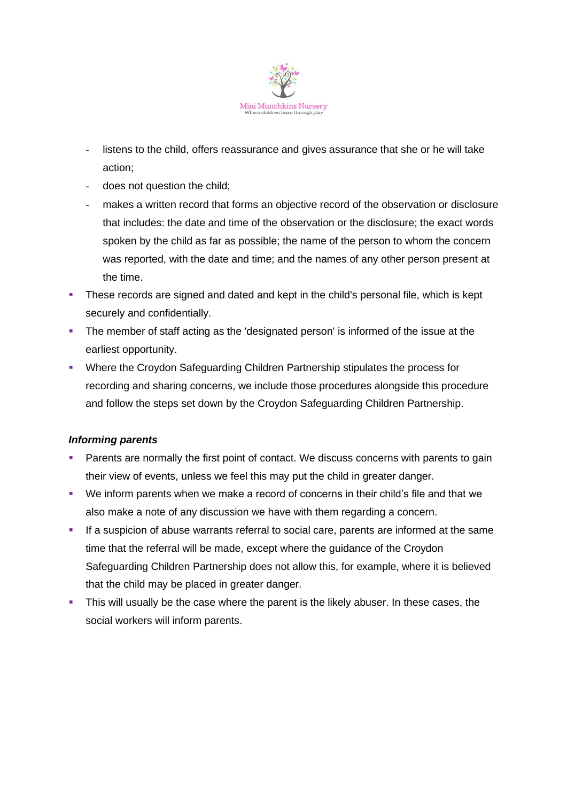

- **-** listens to the child, offers reassurance and gives assurance that she or he will take action;
- **-** does not question the child;
- **-** makes a written record that forms an objective record of the observation or disclosure that includes: the date and time of the observation or the disclosure; the exact words spoken by the child as far as possible; the name of the person to whom the concern was reported, with the date and time; and the names of any other person present at the time.
- **•** These records are signed and dated and kept in the child's personal file, which is kept securely and confidentially.
- **•** The member of staff acting as the 'designated person' is informed of the issue at the earliest opportunity.
- Where the Croydon Safeguarding Children Partnership stipulates the process for recording and sharing concerns, we include those procedures alongside this procedure and follow the steps set down by the Croydon Safeguarding Children Partnership.

# *Informing parents*

- Parents are normally the first point of contact. We discuss concerns with parents to gain their view of events, unless we feel this may put the child in greater danger.
- We inform parents when we make a record of concerns in their child's file and that we also make a note of any discussion we have with them regarding a concern.
- **.** If a suspicion of abuse warrants referral to social care, parents are informed at the same time that the referral will be made, except where the guidance of the Croydon Safeguarding Children Partnership does not allow this, for example, where it is believed that the child may be placed in greater danger.
- This will usually be the case where the parent is the likely abuser. In these cases, the social workers will inform parents.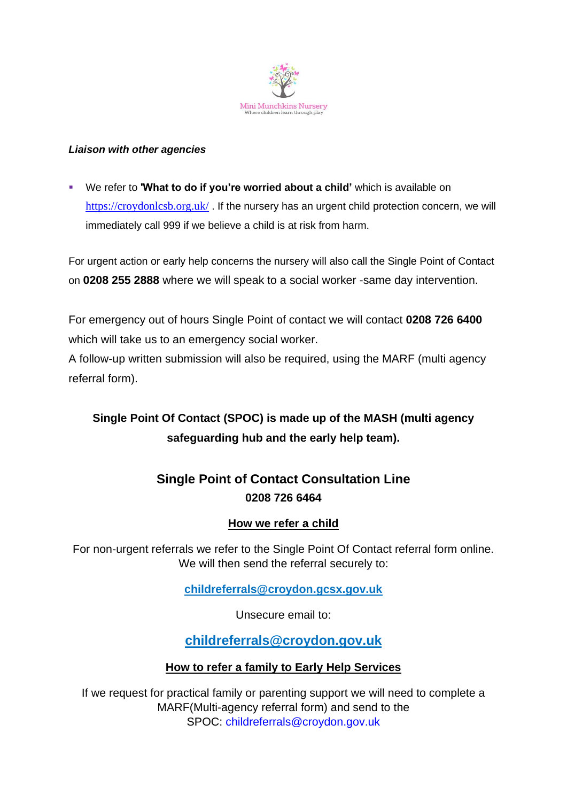

### *Liaison with other agencies*

▪ We refer to **'What to do if you're worried about a child'** which is available on <https://croydonlcsb.org.uk/>. If the nursery has an urgent child protection concern, we will immediately call 999 if we believe a child is at risk from harm.

For urgent action or early help concerns the nursery will also call the Single Point of Contact on **0208 255 2888** where we will speak to a social worker -same day intervention.

For emergency out of hours Single Point of contact we will contact **0208 726 6400** which will take us to an emergency social worker.

A follow-up written submission will also be required, using the MARF (multi agency referral form).

# **Single Point Of Contact (SPOC) is made up of the MASH (multi agency safeguarding hub and the early help team).**

# **Single Point of Contact Consultation Line 0208 726 6464**

# **How we refer a child**

For non-urgent referrals we refer to the Single Point Of Contact referral form online. We will then send the referral securely to:

**[childreferrals@croydon.gcsx.gov.uk](mailto:childreferrals@croydon.gcsx.gov.uk)**

Unsecure email to:

**[childreferrals@croydon.gov.uk](mailto:childreferrals@croydon.gov.uk)**

# **How to refer a family to Early Help Services**

If we request for practical family or parenting support we will need to complete a MARF(Multi-agency referral form) and send to the SPOC: [childreferrals@croydon.gov.uk](mailto:childreferrals@croydon.gov.uk)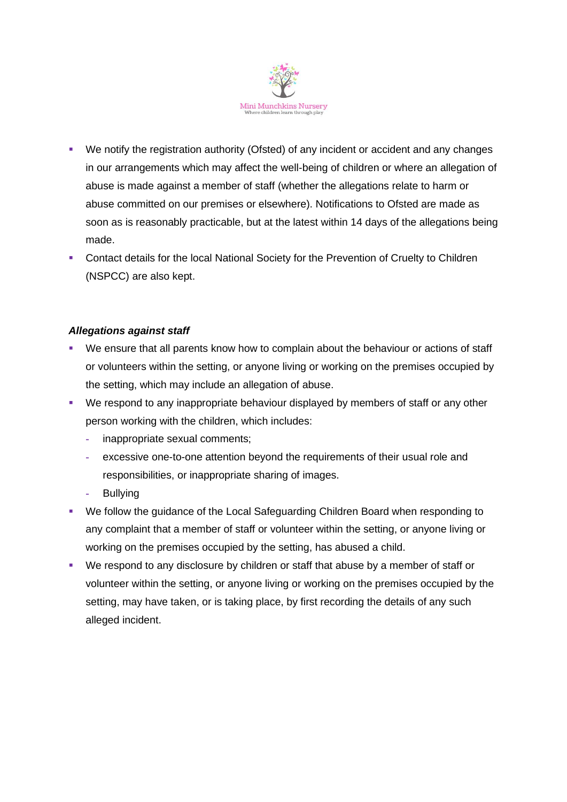

- We notify the registration authority (Ofsted) of any incident or accident and any changes in our arrangements which may affect the well-being of children or where an allegation of abuse is made against a member of staff (whether the allegations relate to harm or abuse committed on our premises or elsewhere). Notifications to Ofsted are made as soon as is reasonably practicable, but at the latest within 14 days of the allegations being made.
- **Contact details for the local National Society for the Prevention of Cruelty to Children** (NSPCC) are also kept.

### *Allegations against staff*

- We ensure that all parents know how to complain about the behaviour or actions of staff or volunteers within the setting, or anyone living or working on the premises occupied by the setting, which may include an allegation of abuse.
- We respond to any inappropriate behaviour displayed by members of staff or any other person working with the children, which includes:
	- **-** inappropriate sexual comments;
	- **-** excessive one-to-one attention beyond the requirements of their usual role and responsibilities, or inappropriate sharing of images.
	- **-** Bullying
- We follow the guidance of the Local Safeguarding Children Board when responding to any complaint that a member of staff or volunteer within the setting, or anyone living or working on the premises occupied by the setting, has abused a child.
- We respond to any disclosure by children or staff that abuse by a member of staff or volunteer within the setting, or anyone living or working on the premises occupied by the setting, may have taken, or is taking place, by first recording the details of any such alleged incident.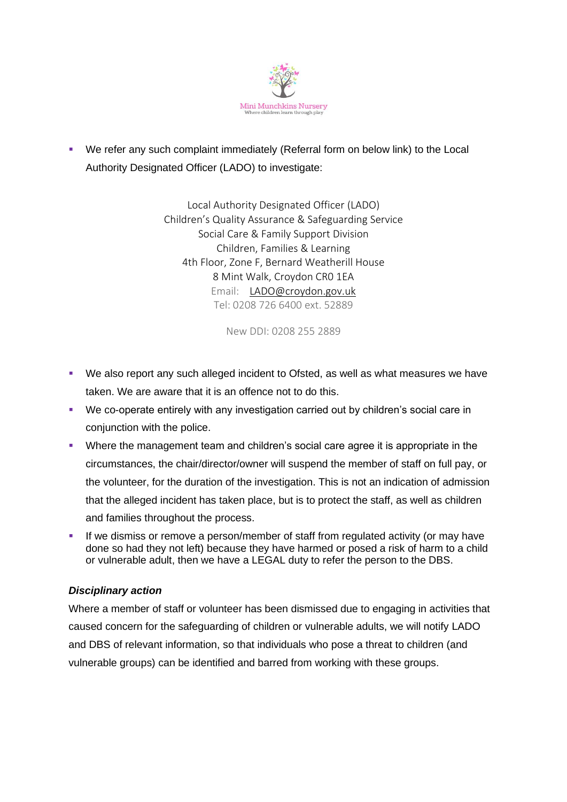

■ We refer any such complaint immediately (Referral form on below link) to the Local Authority Designated Officer (LADO) to investigate:

> Local Authority Designated Officer (LADO) Children's Quality Assurance & Safeguarding Service Social Care & Family Support Division Children, Families & Learning 4th Floor, Zone F, Bernard Weatherill House 8 Mint Walk, Croydon CR0 1EA Email: [LADO@croydon.gov.uk](mailto:LADO@croydon.gov.uk) Tel: 0208 726 6400 ext. 52889

> > New DDI: 0208 255 2889

- We also report any such alleged incident to Ofsted, as well as what measures we have taken. We are aware that it is an offence not to do this.
- We co-operate entirely with any investigation carried out by children's social care in conjunction with the police.
- Where the management team and children's social care agree it is appropriate in the circumstances, the chair/director/owner will suspend the member of staff on full pay, or the volunteer, for the duration of the investigation. This is not an indication of admission that the alleged incident has taken place, but is to protect the staff, as well as children and families throughout the process.
- **.** If we dismiss or remove a person/member of staff from regulated activity (or may have done so had they not left) because they have harmed or posed a risk of harm to a child or vulnerable adult, then we have a LEGAL duty to refer the person to the DBS.

# *Disciplinary action*

Where a member of staff or volunteer has been dismissed due to engaging in activities that caused concern for the safeguarding of children or vulnerable adults, we will notify LADO and DBS of relevant information, so that individuals who pose a threat to children (and vulnerable groups) can be identified and barred from working with these groups.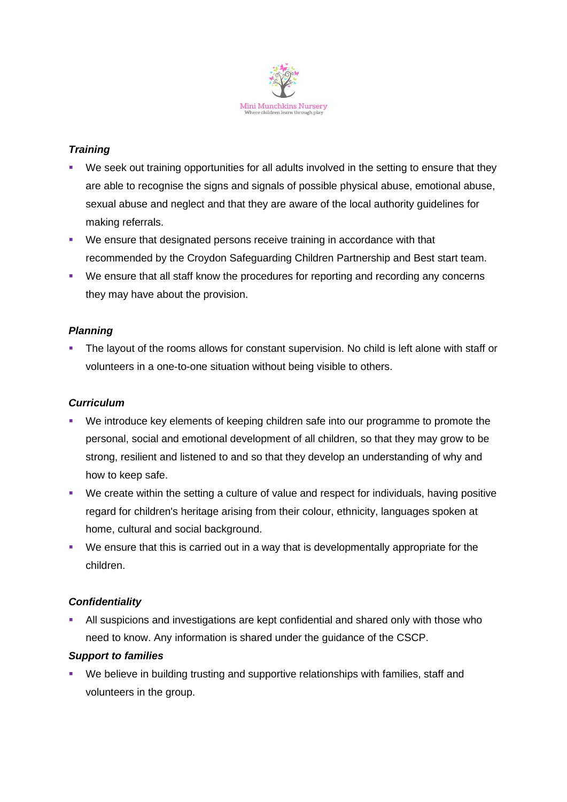

# *Training*

- We seek out training opportunities for all adults involved in the setting to ensure that they are able to recognise the signs and signals of possible physical abuse, emotional abuse, sexual abuse and neglect and that they are aware of the local authority guidelines for making referrals.
- We ensure that designated persons receive training in accordance with that recommended by the Croydon Safeguarding Children Partnership and Best start team.
- We ensure that all staff know the procedures for reporting and recording any concerns they may have about the provision.

# *Planning*

**•** The layout of the rooms allows for constant supervision. No child is left alone with staff or volunteers in a one-to-one situation without being visible to others.

### *Curriculum*

- We introduce key elements of keeping children safe into our programme to promote the personal, social and emotional development of all children, so that they may grow to be strong, resilient and listened to and so that they develop an understanding of why and how to keep safe.
- We create within the setting a culture of value and respect for individuals, having positive regard for children's heritage arising from their colour, ethnicity, languages spoken at home, cultural and social background.
- We ensure that this is carried out in a way that is developmentally appropriate for the children.

# *Confidentiality*

All suspicions and investigations are kept confidential and shared only with those who need to know. Any information is shared under the guidance of the CSCP.

#### *Support to families*

We believe in building trusting and supportive relationships with families, staff and volunteers in the group.